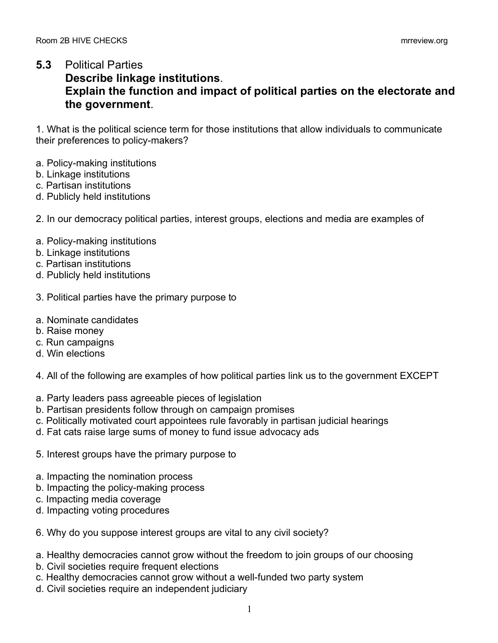## **5.3** Political Parties

## **Describe linkage institutions**. **Explain the function and impact of political parties on the electorate and the government**.

1. What is the political science term for those institutions that allow individuals to communicate their preferences to policy-makers?

- a. Policy-making institutions
- b. Linkage institutions
- c. Partisan institutions
- d. Publicly held institutions

## 2. In our democracy political parties, interest groups, elections and media are examples of

- a. Policy-making institutions
- b. Linkage institutions
- c. Partisan institutions
- d. Publicly held institutions
- 3. Political parties have the primary purpose to
- a. Nominate candidates
- b. Raise money
- c. Run campaigns
- d. Win elections
- 4. All of the following are examples of how political parties link us to the government EXCEPT
- a. Party leaders pass agreeable pieces of legislation
- b. Partisan presidents follow through on campaign promises
- c. Politically motivated court appointees rule favorably in partisan judicial hearings
- d. Fat cats raise large sums of money to fund issue advocacy ads
- 5. Interest groups have the primary purpose to
- a. Impacting the nomination process
- b. Impacting the policy-making process
- c. Impacting media coverage
- d. Impacting voting procedures
- 6. Why do you suppose interest groups are vital to any civil society?
- a. Healthy democracies cannot grow without the freedom to join groups of our choosing
- b. Civil societies require frequent elections
- c. Healthy democracies cannot grow without a well-funded two party system
- d. Civil societies require an independent judiciary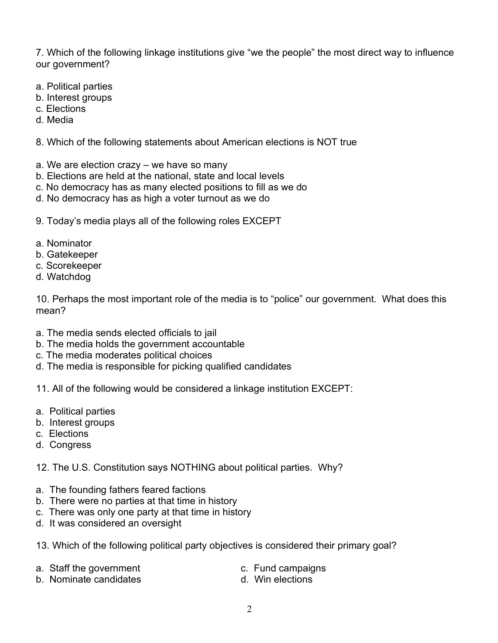7. Which of the following linkage institutions give "we the people" the most direct way to influence our government?

- a. Political parties
- b. Interest groups
- c. Elections
- d. Media
- 8. Which of the following statements about American elections is NOT true
- a. We are election crazy we have so many
- b. Elections are held at the national, state and local levels
- c. No democracy has as many elected positions to fill as we do
- d. No democracy has as high a voter turnout as we do
- 9. Today's media plays all of the following roles EXCEPT
- a. Nominator
- b. Gatekeeper
- c. Scorekeeper
- d. Watchdog

10. Perhaps the most important role of the media is to "police" our government. What does this mean?

- a. The media sends elected officials to jail
- b. The media holds the government accountable
- c. The media moderates political choices
- d. The media is responsible for picking qualified candidates
- 11. All of the following would be considered a linkage institution EXCEPT:
- a. Political parties
- b. Interest groups
- c. Elections
- d. Congress
- 12. The U.S. Constitution says NOTHING about political parties. Why?
- a. The founding fathers feared factions
- b. There were no parties at that time in history
- c. There was only one party at that time in history
- d. It was considered an oversight
- 13. Which of the following political party objectives is considered their primary goal?
- a. Staff the government c. Fund campaigns
- b. Nominate candidates b. Win elections
-